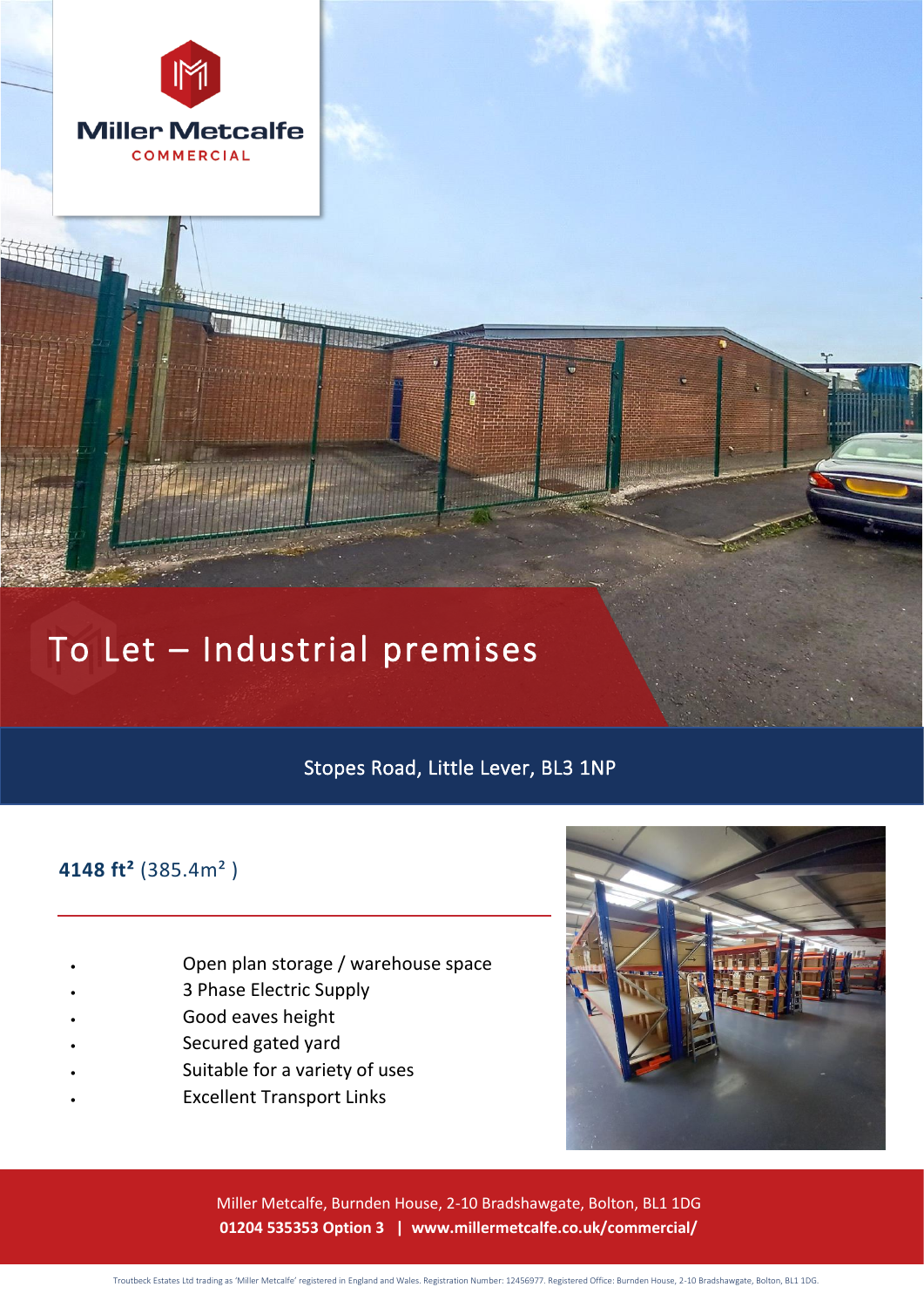

# To Let – Industrial premises

# Stopes Road, Little Lever, BL3 1NP

# **4148 ft²** (385.4m² )

- Open plan storage / warehouse space
- 3 Phase Electric Supply
- Good eaves height
- Secured gated yard
- Suitable for a variety of uses
- Excellent Transport Links



Miller Metcalfe, Burnden House, 2-10 Bradshawgate, Bolton, BL1 1DG **01204 535353 Option 3 | www.millermetcalfe.co.uk/commercial/**